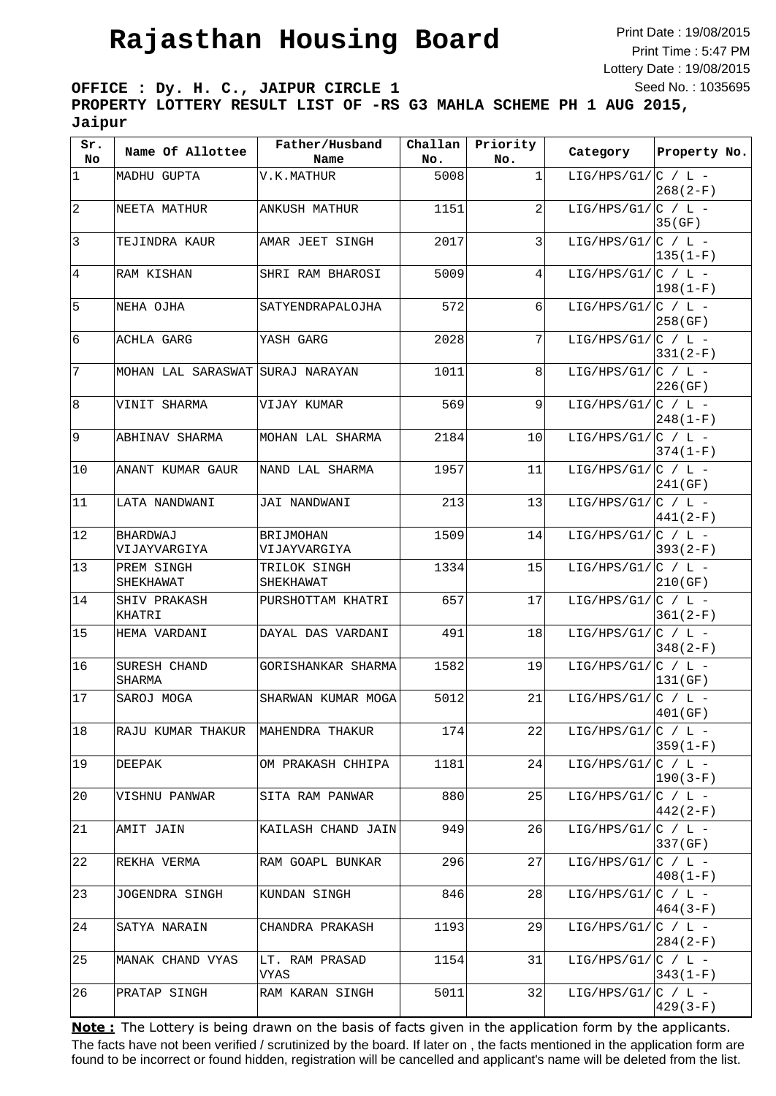Print Date : 19/08/2015 Print Time : 5:47 PM Lottery Date : 19/08/2015 Seed No. : 1035695

**OFFICE : Dy. H. C., JAIPUR CIRCLE 1 PROPERTY LOTTERY RESULT LIST OF -RS G3 MAHLA SCHEME PH 1 AUG 2015, Jaipur**

| Sr.<br>No.     | Name Of Allottee                 | Father/Husband<br>Name    | Challan<br>No. | Priority<br>No. | Category                | Property No. |
|----------------|----------------------------------|---------------------------|----------------|-----------------|-------------------------|--------------|
| $\vert$ 1      | MADHU GUPTA                      | V.K.MATHUR                | 5008           | 1               | LIG/HPS/G1/ $ C / L -$  | $268(2-F)$   |
| $\sqrt{2}$     | NEETA MATHUR                     | ANKUSH MATHUR             | 1151           | 2               | LIG/HPS/G1/ $ C / L -$  | 35(GF)       |
| $\mathfrak{Z}$ | TEJINDRA KAUR                    | AMAR JEET SINGH           | 2017           | 3               | LIG/HPS/G1/ $ C / L -$  | $135(1-F)$   |
| 4              | RAM KISHAN                       | SHRI RAM BHAROSI          | 5009           | $\vert 4 \vert$ | LIG/HPS/G1/ $ C / L -$  | $ 198(1-F) $ |
| 5              | NEHA OJHA                        | SATYENDRAPALOJHA          | 572            | 6               | LIG/HPS/G1/ $ C / L -$  | 258(GF)      |
| 6              | ACHLA GARG                       | YASH GARG                 | 2028           | 7 <sup>1</sup>  | LIG/HPS/G1/ $ C / L -$  | $331(2-F)$   |
| $\sqrt{ }$     | MOHAN LAL SARASWAT SURAJ NARAYAN |                           | 1011           | 8 <sup>1</sup>  | LIG/HPS/G1/ $ C / L -$  | 226(GF)      |
| 8              | VINIT SHARMA                     | VIJAY KUMAR               | 569            | 9               | LIG/HPS/G1/ $ C $ / L - | $248(1-F)$   |
| 9              | ABHINAV SHARMA                   | MOHAN LAL SHARMA          | 2184           | 10              | LIG/HPS/G1/ $ C / L -$  | $374(1-F)$   |
| 10             | ANANT KUMAR GAUR                 | NAND LAL SHARMA           | 1957           | 11              | LIG/HPS/G1/ $ C / L -$  | 241(GF)      |
| 11             | LATA NANDWANI                    | JAI NANDWANI              | 213            | 13              | LIG/HPS/G1/ $ C / L -$  | $441(2-F)$   |
| 12             | BHARDWAJ<br>VIJAYVARGIYA         | BRIJMOHAN<br>VIJAYVARGIYA | 1509           | 14              | LIG/HPS/G1/ $ C $ / L - | $393(2-F)$   |
| 13             | PREM SINGH<br>SHEKHAWAT          | TRILOK SINGH<br>SHEKHAWAT | 1334           | 15              | LIG/HPS/G1/ $ C / L -$  | 210(GF)      |
| 14             | SHIV PRAKASH<br>KHATRI           | PURSHOTTAM KHATRI         | 657            | 17              | LIG/HPS/G1/ $ C / L -$  | $361(2-F)$   |
| 15             | HEMA VARDANI                     | DAYAL DAS VARDANI         | 491            | 18              | LIG/HPS/G1/ $ C / L -$  | $348(2-F)$   |
| 16             | SURESH CHAND<br>SHARMA           | GORISHANKAR SHARMA        | 1582           | 19              | LIG/HPS/G1/ $ C / L -$  | 131(GF)      |
| 17             | SAROJ MOGA                       | SHARWAN KUMAR MOGA        | 5012           | 21              | LIG/HPS/G1/ $ C / L -$  | 401(GF)      |
| $18\,$         | RAJU KUMAR THAKUR                | MAHENDRA THAKUR           | 174            | 22              | LIG/HPS/G1/ $ C / L -$  | $359(1-F)$   |
| 19             | DEEPAK                           | OM PRAKASH CHHIPA         | 1181           | 24              | LIG/HPS/G1/ $ C $ / L - | $190(3-F)$   |
| 20             | VISHNU PANWAR                    | SITA RAM PANWAR           | 880            | 25              | LIG/HPS/G1/ $ C / L -$  | $442(2-F)$   |
| 21             | AMIT JAIN                        | KAILASH CHAND JAIN        | 949            | 26              | LIG/HPS/G1/ $ C / L -$  | 337 (GF)     |
| 22             | REKHA VERMA                      | RAM GOAPL BUNKAR          | 296            | 27              | LIG/HPS/G1/ $ C / L -$  | $408(1-F)$   |
| 23             | JOGENDRA SINGH                   | KUNDAN SINGH              | 846            | 28              | LIG/HPS/G1/ $ C $ / L - | $464(3-F)$   |
| 24             | SATYA NARAIN                     | CHANDRA PRAKASH           | 1193           | 29              | LIG/HPS/G1/ $ C / L -$  | $284(2-F)$   |
| 25             | MANAK CHAND VYAS                 | LT. RAM PRASAD<br>VYAS    | 1154           | 31              | LIG/HPS/G1/ $ C / L -$  | $343(1-F)$   |
| 26             | PRATAP SINGH                     | RAM KARAN SINGH           | 5011           | 32              | LIG/HPS/G1/ $ C / L -$  | $429(3-F)$   |
|                |                                  |                           |                |                 |                         |              |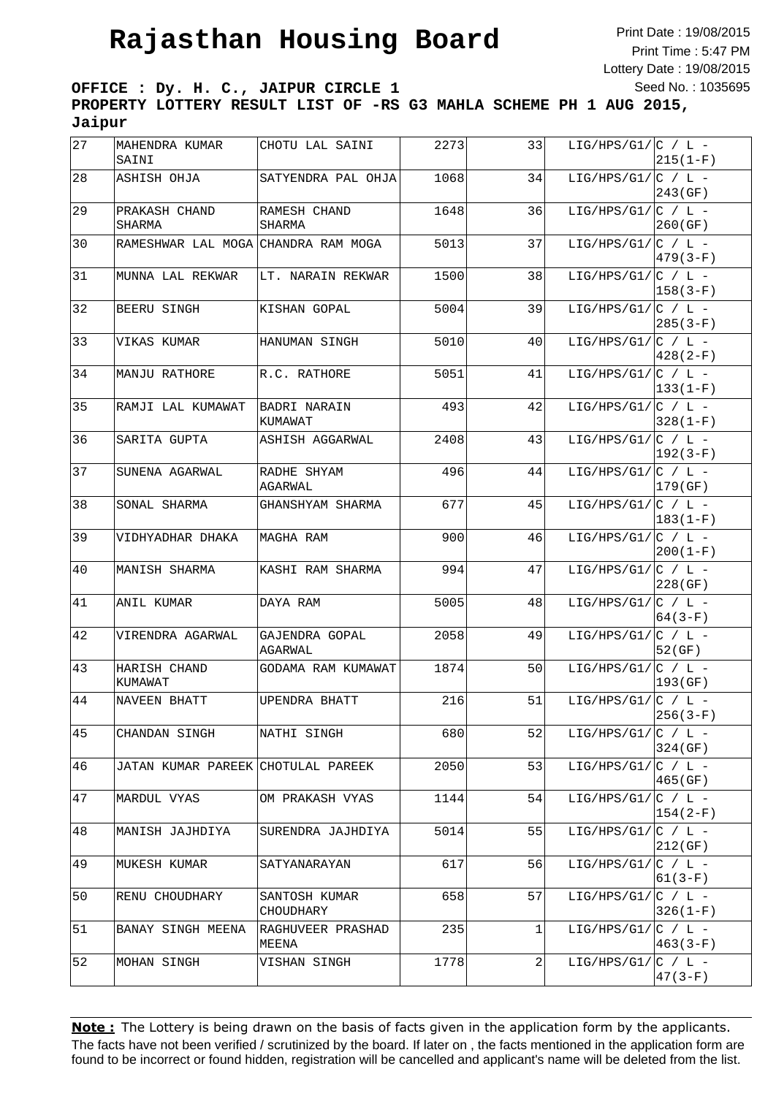Print Date : 19/08/2015 Print Time : 5:47 PM Lottery Date : 19/08/2015 Seed No. : 1035695

**OFFICE : Dy. H. C., JAIPUR CIRCLE 1 PROPERTY LOTTERY RESULT LIST OF -RS G3 MAHLA SCHEME PH 1 AUG 2015, Jaipur**

| 27 | MAHENDRA KUMAR<br>SAINI             | CHOTU LAL SAINI            | 2273 | 33 | LIG/HPS/G1/ $ C $ / L - | $215(1-F)$   |
|----|-------------------------------------|----------------------------|------|----|-------------------------|--------------|
| 28 | ASHISH OHJA                         | SATYENDRA PAL OHJA         | 1068 | 34 | LIG/HPS/G1/ $ C / L -$  | 243 (GF)     |
| 29 | PRAKASH CHAND<br>SHARMA             | RAMESH CHAND<br>SHARMA     | 1648 | 36 | LIG/HPS/G1/ $ C / L -$  | 260 (GF)     |
| 30 | RAMESHWAR LAL MOGA CHANDRA RAM MOGA |                            | 5013 | 37 | LIG/HPS/G1/ $ C / L -$  | 479(3-F)     |
| 31 | MUNNA LAL REKWAR                    | LT. NARAIN REKWAR          | 1500 | 38 | LIG/HPS/G1/ $ C / L -$  | 158(3-F)     |
| 32 | BEERU SINGH                         | KISHAN GOPAL               | 5004 | 39 | LIG/HPS/G1/ $ C $ / L - | $285(3-F)$   |
| 33 | VIKAS KUMAR                         | HANUMAN SINGH              | 5010 | 40 | LIG/HPS/G1/ $ C / L -$  | 428(2-F)     |
| 34 | MANJU RATHORE                       | R.C. RATHORE               | 5051 | 41 | LIG/HPS/G1/ $ C / L -$  | $ 133(1-F) $ |
| 35 | RAMJI LAL KUMAWAT                   | BADRI NARAIN<br>KUMAWAT    | 493  | 42 | LIG/HPS/G1/ $ C / L -$  | $328(1-F)$   |
| 36 | SARITA GUPTA                        | ASHISH AGGARWAL            | 2408 | 43 | LIG/HPS/G1/ $ C $ / L - | 192(3-F)     |
| 37 | SUNENA AGARWAL                      | RADHE SHYAM<br>AGARWAL     | 496  | 44 | LIG/HPS/G1/ $ C / L -$  | 179(GF)      |
| 38 | SONAL SHARMA                        | GHANSHYAM SHARMA           | 677  | 45 | $LIG/HPS/G1/ C / L -$   | 183(1-F)     |
| 39 | VIDHYADHAR DHAKA                    | MAGHA RAM                  | 900  | 46 | LIG/HPS/G1/ $ C $ / L - | $200(1-F)$   |
| 40 | MANISH SHARMA                       | KASHI RAM SHARMA           | 994  | 47 | LIG/HPS/G1/ $ C / L -$  | 228 (GF)     |
| 41 | ANIL KUMAR                          | DAYA RAM                   | 5005 | 48 | LIG/HPS/G1/ $ C / L -$  | $64(3-F)$    |
| 42 | VIRENDRA AGARWAL                    | GAJENDRA GOPAL<br>AGARWAL  | 2058 | 49 | LIG/HPS/G1/ $ C / L -$  | 52 (GF)      |
| 43 | HARISH CHAND<br>KUMAWAT             | GODAMA RAM KUMAWAT         | 1874 | 50 | LIG/HPS/G1/ $ C $ / L - | 193(GF)      |
| 44 | NAVEEN BHATT                        | UPENDRA BHATT              | 216  | 51 | LIG/HPS/G1/ $ C $ / L - | 256(3-F)     |
| 45 | CHANDAN SINGH                       | NATHI SINGH                | 680  | 52 | LIG/HPS/G1/ $ C / L -$  | 324 (GF)     |
| 46 | JATAN KUMAR PAREEK CHOTULAL PAREEK  |                            | 2050 | 53 | LIG/HPS/G1/ $ C / L -$  | 465(GF)      |
| 47 | MARDUL VYAS                         | OM PRAKASH VYAS            | 1144 | 54 | LIG/HPS/G1/ $ C / L -$  | 154(2-F)     |
| 48 | MANISH JAJHDIYA                     | SURENDRA JAJHDIYA          | 5014 | 55 | $LIG/HPS/G1/ C / L -$   | 212(GF)      |
| 49 | MUKESH KUMAR                        | SATYANARAYAN               | 617  | 56 | $LIG/HPS/G1/ C / L -$   | $61(3-F)$    |
| 50 | RENU CHOUDHARY                      | SANTOSH KUMAR<br>CHOUDHARY | 658  | 57 | LIG/HPS/G1/ $ C / L -$  | 326(1-F)     |
| 51 | BANAY SINGH MEENA                   | RAGHUVEER PRASHAD<br>MEENA | 235  | 1  | LIG/HPS/G1/ $ C / L -$  | $463(3-F)$   |
| 52 | MOHAN SINGH                         | VISHAN SINGH               | 1778 | 2  | LIG/HPS/G1/ $ C / L -$  | $47(3-F)$    |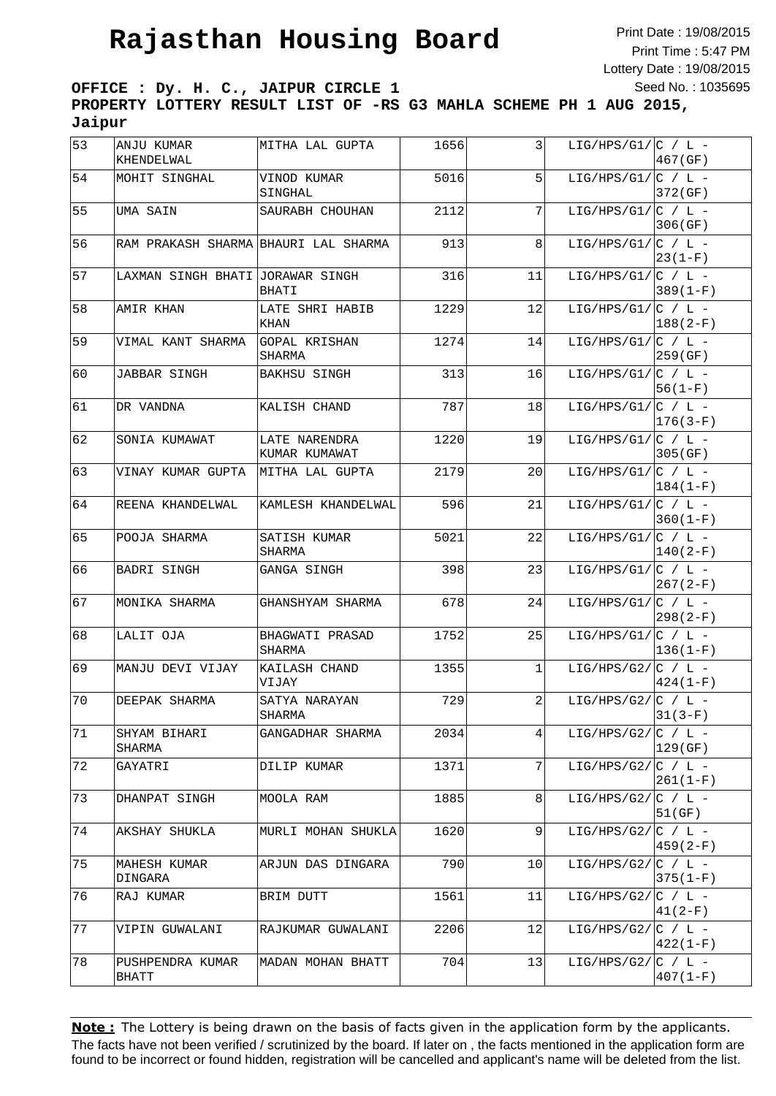Print Date : 19/08/2015 Print Time : 5:47 PM Lottery Date : 19/08/2015 Seed No. : 1035695

**OFFICE : Dy. H. C., JAIPUR CIRCLE 1 PROPERTY LOTTERY RESULT LIST OF -RS G3 MAHLA SCHEME PH 1 AUG 2015, Jaipur**

| 53 | ANJU KUMAR<br>KHENDELWAL             | MITHA LAL GUPTA                | 1656 | 3  | LIG/HPS/G1/ $ C / L -$  | 467(GF)      |
|----|--------------------------------------|--------------------------------|------|----|-------------------------|--------------|
| 54 | MOHIT SINGHAL                        | VINOD KUMAR<br>SINGHAL         | 5016 | 5  | $LIG/HPS/G1/ C / L -$   | 372 (GF)     |
| 55 | UMA SAIN                             | SAURABH CHOUHAN                | 2112 | 7  | LIG/HPS/G1/ $ C $ / L - | 306 (GF)     |
| 56 | RAM PRAKASH SHARMA BHAURI LAL SHARMA |                                | 913  | 8  | LIG/HPS/G1/ $ C / L -$  | $ 23(1-F) $  |
| 57 | LAXMAN SINGH BHATI JORAWAR SINGH     | BHATI                          | 316  | 11 | LIG/HPS/G1/ $ C / L -$  | $389(1-F)$   |
| 58 | AMIR KHAN                            | LATE SHRI HABIB<br>KHAN        | 1229 | 12 | LIG/HPS/G1/ $ C / L -$  | $188(2-F)$   |
| 59 | VIMAL KANT SHARMA                    | GOPAL KRISHAN<br>SHARMA        | 1274 | 14 | LIG/HPS/G1/ $ C / L -$  | 259(GF)      |
| 60 | JABBAR SINGH                         | BAKHSU SINGH                   | 313  | 16 | LIG/HPS/G1/ $ C / L -$  | 56(1-F)      |
| 61 | DR VANDNA                            | KALISH CHAND                   | 787  | 18 | LIG/HPS/G1/ $ C / L -$  | $ 176(3-F) $ |
| 62 | SONIA KUMAWAT                        | LATE NARENDRA<br>KUMAR KUMAWAT | 1220 | 19 | LIG/HPS/G1/ $ C / L -$  | 305 (GF)     |
| 63 | VINAY KUMAR GUPTA                    | MITHA LAL GUPTA                | 2179 | 20 | LIG/HPS/G1/ $ C / L -$  | $ 184(1-F)$  |
| 64 | REENA KHANDELWAL                     | KAMLESH KHANDELWAL             | 596  | 21 | LIG/HPS/G1/ $ C / L -$  | $360(1-F)$   |
| 65 | POOJA SHARMA                         | SATISH KUMAR<br>SHARMA         | 5021 | 22 | $LIG/HPS/G1/ C / L -$   | $ 140(2-F)$  |
| 66 | BADRI SINGH                          | GANGA SINGH                    | 398  | 23 | LIG/HPS/G1/ $ C $ / L - | 267(2-F)     |
| 67 | MONIKA SHARMA                        | GHANSHYAM SHARMA               | 678  | 24 | LIG/HPS/G1/ $ C / L -$  | 298(2-F)     |
| 68 | LALIT OJA                            | BHAGWATI PRASAD<br>SHARMA      | 1752 | 25 | LIG/HPS/G1/ $ C / L -$  | $136(1-F)$   |
| 69 | MANJU DEVI VIJAY                     | KAILASH CHAND<br>VIJAY         | 1355 | 1  | LIG/HPS/G2/ $ C / L -$  | 424(1-F)     |
| 70 | DEEPAK SHARMA                        | SATYA NARAYAN<br>SHARMA        | 729  | 2  | LIG/HPS/G2/ $ C / L -$  | $31(3-F)$    |
| 71 | SHYAM BIHARI<br>SHARMA               | GANGADHAR SHARMA               | 2034 | 4  | LIG/HPS/G2/ $ C / L -$  | 129 (GF)     |
| 72 | GAYATRI                              | DILIP KUMAR                    | 1371 | 7  | LIG/HPS/G2/ $C / L$ -   | $ 261(1-F) $ |
| 73 | DHANPAT SINGH                        | MOOLA RAM                      | 1885 | 8  | LIG/HPS/G2/ $ C / L -$  | 51(GF)       |
| 74 | AKSHAY SHUKLA                        | MURLI MOHAN SHUKLA             | 1620 | 9  | LIG/HPS/G2/ $ C / L -$  | $459(2-F)$   |
| 75 | MAHESH KUMAR<br>DINGARA              | ARJUN DAS DINGARA              | 790  | 10 | LIG/HPS/G2/ $ C / L -$  | $375(1-F)$   |
| 76 | RAJ KUMAR                            | BRIM DUTT                      | 1561 | 11 | LIG/HPS/G2/ $ C / L -$  | $41(2-F)$    |
| 77 | VIPIN GUWALANI                       | RAJKUMAR GUWALANI              | 2206 | 12 | LIG/HPS/G2/ $ C / L -$  | 422(1-F)     |
| 78 | PUSHPENDRA KUMAR<br>BHATT            | MADAN MOHAN BHATT              | 704  | 13 | LIG/HPS/G2/ $ C / L -$  | $407(1-F)$   |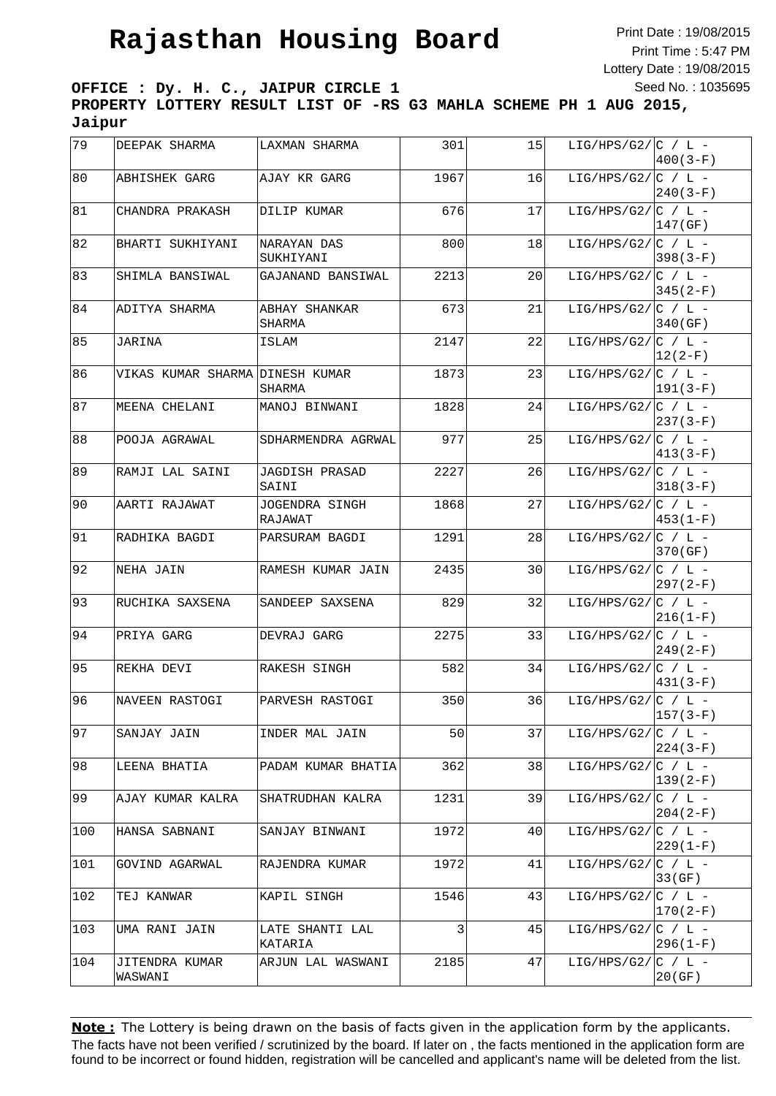Print Date : 19/08/2015 Print Time : 5:47 PM Lottery Date : 19/08/2015 Seed No. : 1035695

**OFFICE : Dy. H. C., JAIPUR CIRCLE 1 PROPERTY LOTTERY RESULT LIST OF -RS G3 MAHLA SCHEME PH 1 AUG 2015, Jaipur**

| 79   | DEEPAK SHARMA                   | LAXMAN SHARMA                  | 301  | 15 | LIG/HPS/G2/ $ C / L -$ | $400(3-F)$   |
|------|---------------------------------|--------------------------------|------|----|------------------------|--------------|
| 80   | ABHISHEK GARG                   | AJAY KR GARG                   | 1967 | 16 | LIG/HPS/G2/ $ C / L -$ | $240(3-F)$   |
| 81   | CHANDRA PRAKASH                 | DILIP KUMAR                    | 676  | 17 | LIG/HPS/G2/ $ C / L -$ | 147(GF)      |
| 82   | BHARTI SUKHIYANI                | NARAYAN DAS<br>SUKHIYANI       | 800  | 18 | LIG/HPS/G2/ $ C / L -$ | $398(3-F)$   |
| 83   | SHIMLA BANSIWAL                 | GAJANAND BANSIWAL              | 2213 | 20 | LIG/HPS/G2/ $ C / L -$ | 345(2-F)     |
| 84   | ADITYA SHARMA                   | ABHAY SHANKAR<br>SHARMA        | 673  | 21 | LIG/HPS/G2/ $ C / L -$ | 340(GF)      |
| 85   | JARINA                          | ISLAM                          | 2147 | 22 | LIG/HPS/G2/ $ C / L -$ | $ 12(2-F) $  |
| 86   | VIKAS KUMAR SHARMA DINESH KUMAR | SHARMA                         | 1873 | 23 | LIG/HPS/G2/ $ C / L -$ | $ 191(3-F) $ |
| 87   | MEENA CHELANI                   | MANOJ BINWANI                  | 1828 | 24 | LIG/HPS/G2/ $ C / L -$ | $237(3-F)$   |
| 88   | POOJA AGRAWAL                   | SDHARMENDRA AGRWAL             | 977  | 25 | $LIG/HPS/G2/[C / L -$  | $413(3-F)$   |
| 89   | RAMJI LAL SAINI                 | <b>JAGDISH PRASAD</b><br>SAINI | 2227 | 26 | LIG/HPS/G2/ $ C / L -$ | $318(3-F)$   |
| 90   | AARTI RAJAWAT                   | JOGENDRA SINGH<br>RAJAWAT      | 1868 | 27 | LIG/HPS/G2/ $ C / L -$ | $453(1-F)$   |
| 91   | RADHIKA BAGDI                   | PARSURAM BAGDI                 | 1291 | 28 | LIG/HPS/G2/ $ C / L -$ | 370 (GF)     |
| 92   | NEHA JAIN                       | RAMESH KUMAR JAIN              | 2435 | 30 | LIG/HPS/G2/ $ C / L -$ | 297(2-F)     |
| $93$ | RUCHIKA SAXSENA                 | SANDEEP SAXSENA                | 829  | 32 | LIG/HPS/G2/ $ C / L -$ | $216(1-F)$   |
| 94   | PRIYA GARG                      | DEVRAJ GARG                    | 2275 | 33 | LIG/HPS/G2/ $C / L$ -  | 249(2-F)     |
| 95   | REKHA DEVI                      | RAKESH SINGH                   | 582  | 34 | LIG/HPS/G2/ $ C / L -$ | $431(3-F)$   |
| 96   | NAVEEN RASTOGI                  | PARVESH RASTOGI                | 350  | 36 | LIG/HPS/G2/ $ C / L -$ | $157(3-F)$   |
| 97   | SANJAY JAIN                     | INDER MAL JAIN                 | 50   | 37 | LIG/HPS/G2/ $ C / L -$ | 224(3-F)     |
| 98   | LEENA BHATIA                    | PADAM KUMAR BHATIA             | 362  | 38 | LIG/HPS/G2/ $ C / L -$ | $139(2-F)$   |
| 99   | AJAY KUMAR KALRA                | SHATRUDHAN KALRA               | 1231 | 39 | LIG/HPS/G2/ $ C / L -$ | $204(2-F)$   |
| 100  | HANSA SABNANI                   | SANJAY BINWANI                 | 1972 | 40 | LIG/HPS/G2/ $ C / L -$ | 229(1-F)     |
| 101  | GOVIND AGARWAL                  | RAJENDRA KUMAR                 | 1972 | 41 | LIG/HPS/G2/ $ C / L -$ | 33(GF)       |
| 102  | TEJ KANWAR                      | KAPIL SINGH                    | 1546 | 43 | LIG/HPS/G2/ $ C / L -$ | 170(2-F)     |
| 103  | UMA RANI JAIN                   | LATE SHANTI LAL<br>KATARIA     | 3    | 45 | LIG/HPS/G2/ $ C / L -$ | 296(1-F)     |
| 104  | JITENDRA KUMAR<br>WASWANI       | ARJUN LAL WASWANI              | 2185 | 47 | LIG/HPS/G2/ $ C / L -$ | 20(GF)       |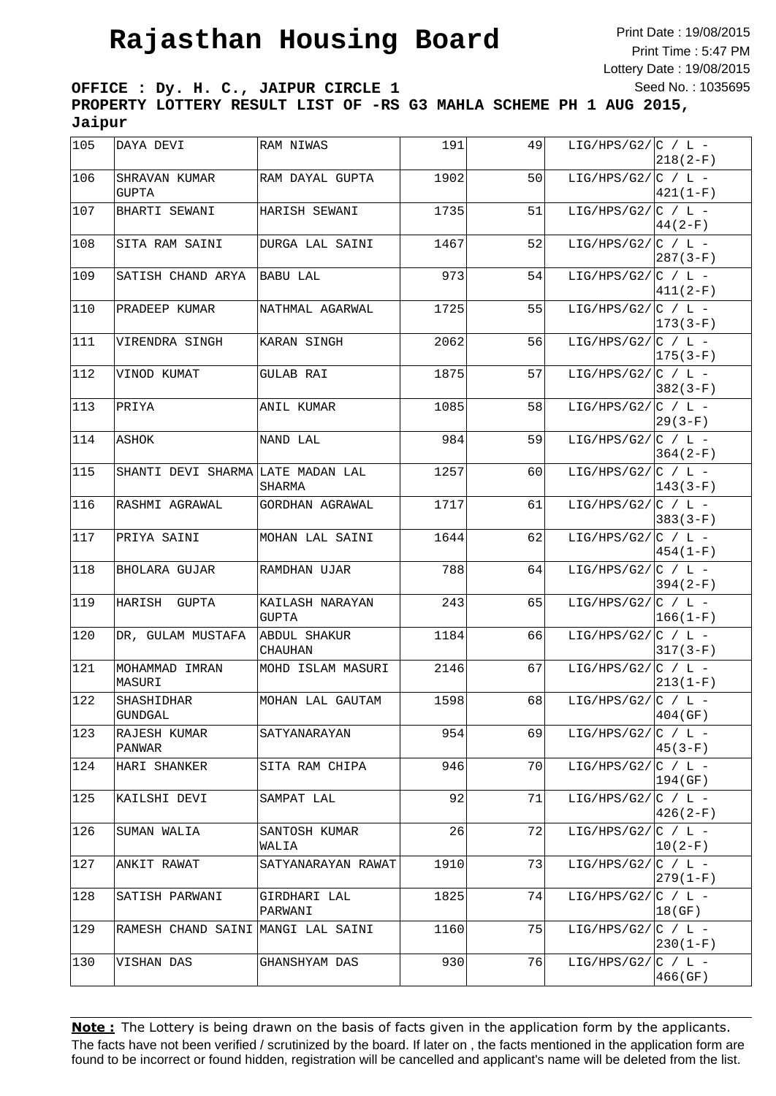Print Date : 19/08/2015 Print Time : 5:47 PM Lottery Date : 19/08/2015 Seed No. : 1035695

**OFFICE : Dy. H. C., JAIPUR CIRCLE 1 PROPERTY LOTTERY RESULT LIST OF -RS G3 MAHLA SCHEME PH 1 AUG 2015, Jaipur**

| 105 | DAYA DEVI                          | RAM NIWAS                      | 191  | 49 | LIG/HPS/G2/ $ C / L -$ | $218(2-F)$   |
|-----|------------------------------------|--------------------------------|------|----|------------------------|--------------|
| 106 | SHRAVAN KUMAR<br>GUPTA             | RAM DAYAL GUPTA                | 1902 | 50 | LIG/HPS/G2/ $ C / L -$ | $421(1-F)$   |
| 107 | BHARTI SEWANI                      | HARISH SEWANI                  | 1735 | 51 | LIG/HPS/G2/ $C / L$ -  | $44(2-F)$    |
| 108 | SITA RAM SAINI                     | DURGA LAL SAINI                | 1467 | 52 | LIG/HPS/G2/ $ C / L -$ | 287(3-F)     |
| 109 | SATISH CHAND ARYA                  | BABU LAL                       | 973  | 54 | LIG/HPS/G2/ $ C / L -$ | $411(2-F)$   |
| 110 | PRADEEP KUMAR                      | NATHMAL AGARWAL                | 1725 | 55 | LIG/HPS/G2/ $ C / L -$ | $173(3-F)$   |
| 111 | VIRENDRA SINGH                     | KARAN SINGH                    | 2062 | 56 | LIG/HPS/G2/ $ C / L -$ | $175(3-F)$   |
| 112 | VINOD KUMAT                        | GULAB RAI                      | 1875 | 57 | LIG/HPS/G2/ $ C / L -$ | $382(3-F)$   |
| 113 | PRIYA                              | ANIL KUMAR                     | 1085 | 58 | LIG/HPS/G2/ $C / L$ -  | 29 (3-F)     |
| 114 | ASHOK                              | NAND LAL                       | 984  | 59 | LIG/HPS/G2/ $ C / L -$ | $364(2-F)$   |
| 115 | SHANTI DEVI SHARMA LATE MADAN LAL  | SHARMA                         | 1257 | 60 | LIG/HPS/G2/ $ C / L -$ | $ 143(3-F)$  |
| 116 | RASHMI AGRAWAL                     | GORDHAN AGRAWAL                | 1717 | 61 | LIG/HPS/G2/ $ C / L -$ | $383(3-F)$   |
| 117 | PRIYA SAINI                        | MOHAN LAL SAINI                | 1644 | 62 | LIG/HPS/G2/ $ C / L -$ | 454(1-F)     |
| 118 | <b>BHOLARA GUJAR</b>               | RAMDHAN UJAR                   | 788  | 64 | LIG/HPS/G2/ $ C / L -$ | 394(2-F)     |
| 119 | HARISH GUPTA                       | KAILASH NARAYAN<br>GUPTA       | 243  | 65 | LIG/HPS/G2/ $ C / L -$ | $ 166(1-F) $ |
| 120 | DR, GULAM MUSTAFA                  | ABDUL SHAKUR<br><b>CHAUHAN</b> | 1184 | 66 | LIG/HPS/G2/ $ C / L -$ | $317(3-F)$   |
| 121 | MOHAMMAD IMRAN<br>MASURI           | MOHD ISLAM MASURI              | 2146 | 67 | LIG/HPS/G2/ $ C / L -$ | $213(1-F)$   |
| 122 | SHASHIDHAR<br><b>GUNDGAL</b>       | MOHAN LAL GAUTAM               | 1598 | 68 | LIG/HPS/G2/ $ C / L -$ | 404(GF)      |
| 123 | RAJESH KUMAR<br>PANWAR             | SATYANARAYAN                   | 954  | 69 | LIG/HPS/G2/ $ C / L -$ | 45(3-F)      |
| 124 | HARI SHANKER                       | SITA RAM CHIPA                 | 946  | 70 | LIG/HPS/G2/ $C / L$ -  | 194(GF)      |
| 125 | KAILSHI DEVI                       | SAMPAT LAL                     | 92   | 71 | $LIG/HPS/G2/[C / L -$  | $426(2-F)$   |
| 126 | SUMAN WALIA                        | SANTOSH KUMAR<br>WALIA         | 26   | 72 | LIG/HPS/G2/ $ C / L -$ | $10(2-F)$    |
| 127 | ANKIT RAWAT                        | SATYANARAYAN RAWAT             | 1910 | 73 | LIG/HPS/G2/ $ C / L -$ | $279(1-F)$   |
| 128 | SATISH PARWANI                     | GIRDHARI LAL<br>PARWANI        | 1825 | 74 | LIG/HPS/G2/ $ C / L -$ | 18(GF)       |
| 129 | RAMESH CHAND SAINI MANGI LAL SAINI |                                | 1160 | 75 | LIG/HPS/G2/ $ C / L -$ | 230(1-F)     |
| 130 | VISHAN DAS                         | GHANSHYAM DAS                  | 930  | 76 | LIG/HPS/G2/ $ C / L -$ | 466(GF)      |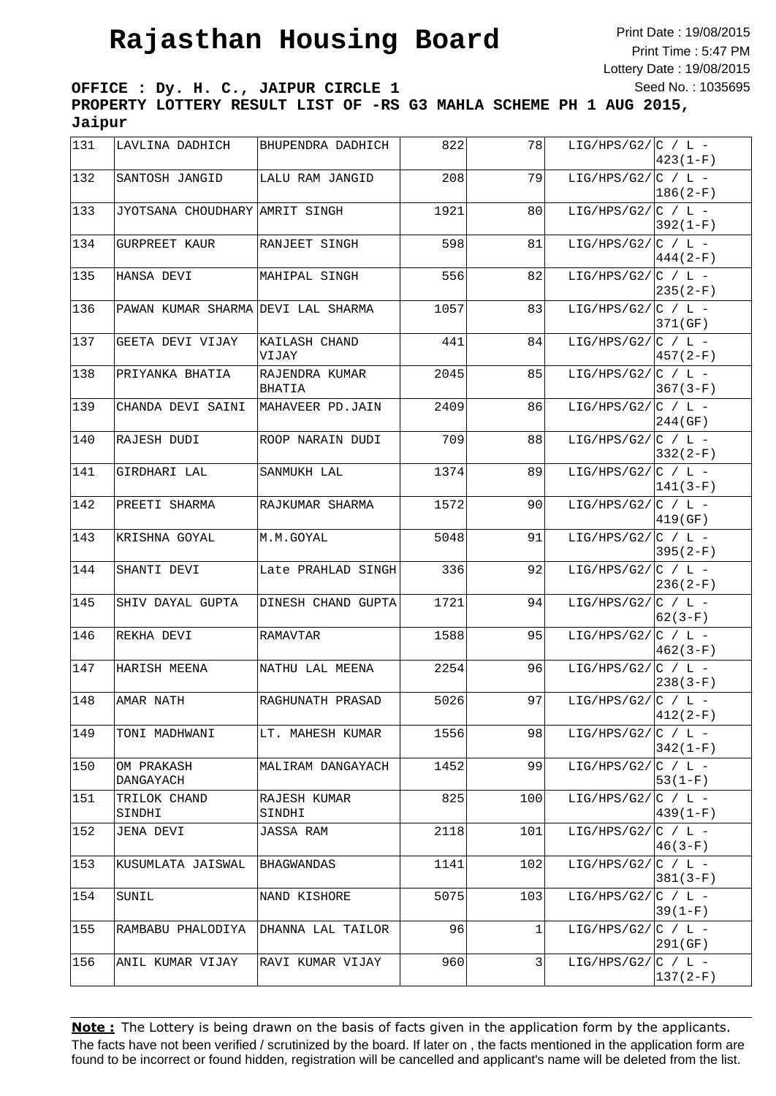Print Date : 19/08/2015 Print Time : 5:47 PM Lottery Date : 19/08/2015 Seed No. : 1035695

**OFFICE : Dy. H. C., JAIPUR CIRCLE 1 PROPERTY LOTTERY RESULT LIST OF -RS G3 MAHLA SCHEME PH 1 AUG 2015, Jaipur**

| 131           | LAVLINA DADHICH                    | BHUPENDRA DADHICH        | 822  | 78  | LIG/HPS/G2/ $ C / L -$ | $423(1-F)$  |
|---------------|------------------------------------|--------------------------|------|-----|------------------------|-------------|
| 132           | SANTOSH JANGID                     | LALU RAM JANGID          | 208  | 79  | LIG/HPS/G2/ $ C / L -$ | $186(2-F)$  |
| 133           | JYOTSANA CHOUDHARY AMRIT SINGH     |                          | 1921 | 80  | LIG/HPS/G2/ $ C / L -$ | $392(1-F)$  |
| 134           | GURPREET KAUR                      | RANJEET SINGH            | 598  | 81  | LIG/HPS/G2/ $ C / L -$ | $444(2-F)$  |
| 135           | HANSA DEVI                         | MAHIPAL SINGH            | 556  | 82  | LIG/HPS/G2/ $ C / L -$ | 235(2-F)    |
| 136           | PAWAN KUMAR SHARMA DEVI LAL SHARMA |                          | 1057 | 83  | LIG/HPS/G2/ $ C / L -$ | 371 (GF)    |
| 137           | GEETA DEVI VIJAY                   | KAILASH CHAND<br>VIJAY   | 441  | 84  | LIG/HPS/G2/ $ C / L -$ | 457(2-F)    |
| 138           | PRIYANKA BHATIA                    | RAJENDRA KUMAR<br>BHATIA | 2045 | 85  | LIG/HPS/G2/ $ C / L -$ | 367(3-F)    |
| 139           | CHANDA DEVI SAINI                  | MAHAVEER PD.JAIN         | 2409 | 86  | LIG/HPS/G2/ $ C / L -$ | 244(GF)     |
| 140           | RAJESH DUDI                        | ROOP NARAIN DUDI         | 709  | 88  | LIG/HPS/G2/ $C / L$ -  | $332(2-F)$  |
| 141           | GIRDHARI LAL                       | SANMUKH LAL              | 1374 | 89  | LIG/HPS/G2/ $ C / L -$ | $141(3-F)$  |
| 142           | PREETI SHARMA                      | RAJKUMAR SHARMA          | 1572 | 90  | LIG/HPS/G2/ $ C / L -$ | 419 (GF)    |
| 143           | KRISHNA GOYAL                      | M.M.GOYAL                | 5048 | 91  | LIG/HPS/G2/ $ C / L -$ | 395(2-F)    |
| 144           | SHANTI DEVI                        | Late PRAHLAD SINGH       | 336  | 92  | LIG/HPS/G2/ $ C / L -$ | $236(2-F)$  |
| 145           | SHIV DAYAL GUPTA                   | DINESH CHAND GUPTA       | 1721 | 94  | LIG/HPS/G2/ $ C / L -$ | $62(3-F)$   |
| 146           | REKHA DEVI                         | RAMAVTAR                 | 1588 | 95  | LIG/HPS/G2/ $ C / L -$ | $462(3-F)$  |
| 147           | HARISH MEENA                       | NATHU LAL MEENA          | 2254 | 96  | LIG/HPS/G2/ $ C / L -$ | $238(3-F)$  |
| 148           | AMAR NATH                          | RAGHUNATH PRASAD         | 5026 | 97  | LIG/HPS/G2/ $ C / L -$ | $ 412(2-F)$ |
| 149           | TONI MADHWANI                      | LT. MAHESH KUMAR         | 1556 | 98  | LIG/HPS/G2/ $ C / L -$ | $342(1-F)$  |
| 150           | OM PRAKASH<br>DANGAYACH            | MALIRAM DANGAYACH        | 1452 | 99  | LIG/HPS/G2/ $ C / L -$ | $53(1-F)$   |
| 151           | TRILOK CHAND<br>SINDHI             | RAJESH KUMAR<br>SINDHI   | 825  | 100 | LIG/HPS/G2/ $ C / L -$ | $439(1-F)$  |
| 152           | JENA DEVI                          | JASSA RAM                | 2118 | 101 | LIG/HPS/G2/ $ C / L -$ | $46(3-F)$   |
| $ 153\rangle$ | KUSUMLATA JAISWAL                  | BHAGWANDAS               | 1141 | 102 | LIG/HPS/G2/ $ C / L -$ | $381(3-F)$  |
| 154           | SUNIL                              | NAND KISHORE             | 5075 | 103 | LIG/HPS/G2/ $C / L$ -  | $39(1-F)$   |
| 155           | RAMBABU PHALODIYA                  | DHANNA LAL TAILOR        | 96   | 1   | LIG/HPS/G2/ $ C / L -$ | 291(GF)     |
| 156           | ANIL KUMAR VIJAY                   | RAVI KUMAR VIJAY         | 960  | 3   | LIG/HPS/G2/ $ C / L -$ | $137(2-F)$  |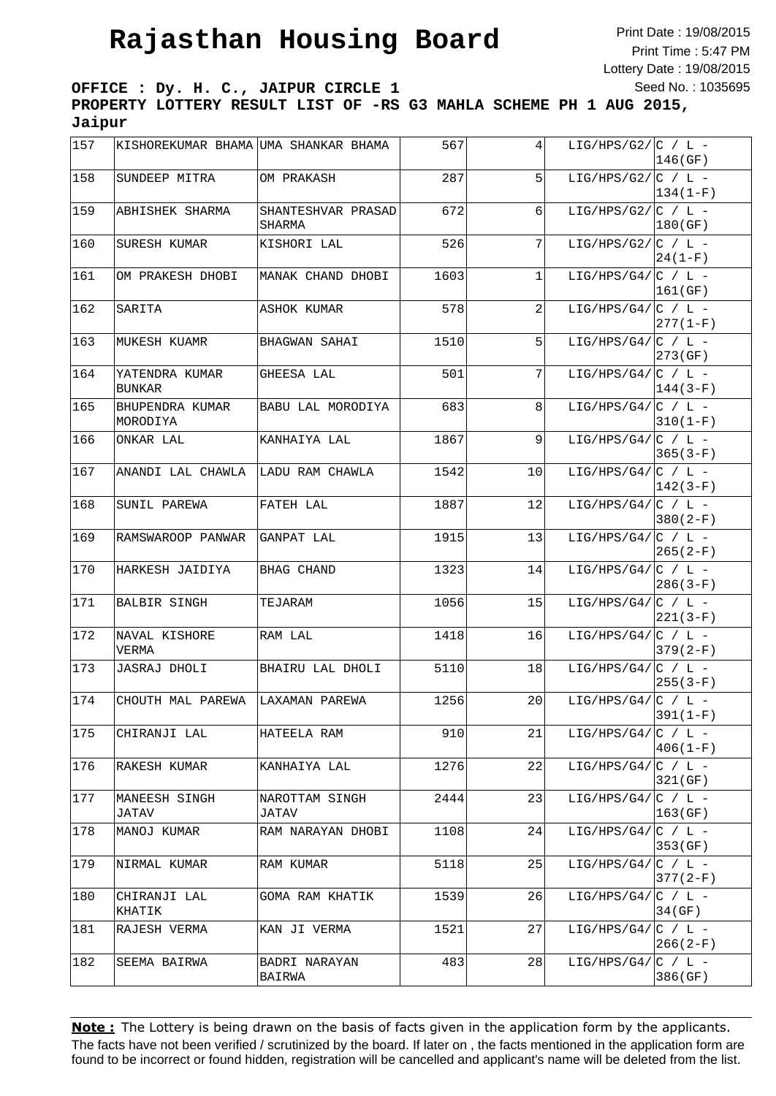Print Date : 19/08/2015 Print Time : 5:47 PM Lottery Date : 19/08/2015 Seed No. : 1035695

**OFFICE : Dy. H. C., JAIPUR CIRCLE 1 PROPERTY LOTTERY RESULT LIST OF -RS G3 MAHLA SCHEME PH 1 AUG 2015, Jaipur**

| 157 | KISHOREKUMAR BHAMA UMA SHANKAR BHAMA |                              | 567  | 4 <sub>1</sub> | LIG/HPS/G2/ $ C / L -$ | 146(GF)    |
|-----|--------------------------------------|------------------------------|------|----------------|------------------------|------------|
| 158 | SUNDEEP MITRA                        | OM PRAKASH                   | 287  | 5              | LIG/HPS/G2/ $ C / L -$ | 134(1-F)   |
| 159 | ABHISHEK SHARMA                      | SHANTESHVAR PRASAD<br>SHARMA | 672  | 6              | LIG/HPS/G2/ $ C / L -$ | 180(GF)    |
| 160 | SURESH KUMAR                         | KISHORI LAL                  | 526  | 7              | LIG/HPS/G2/ $ C / L -$ | $24(1-F)$  |
| 161 | OM PRAKESH DHOBI                     | MANAK CHAND DHOBI            | 1603 | $\mathbf 1$    | LIG/HPS/G4/ $ C / L -$ | 161(GF)    |
| 162 | SARITA                               | ASHOK KUMAR                  | 578  | 2              | LIG/HPS/G4/ $ C / L -$ | $277(1-F)$ |
| 163 | MUKESH KUAMR                         | BHAGWAN SAHAI                | 1510 | 5              | LIG/HPS/G4/ $ C / L -$ | 273(GF)    |
| 164 | YATENDRA KUMAR<br><b>BUNKAR</b>      | GHEESA LAL                   | 501  | 7              | LIG/HPS/G4/ $ C / L -$ | $144(3-F)$ |
| 165 | BHUPENDRA KUMAR<br>MORODIYA          | BABU LAL MORODIYA            | 683  | 8 <sup>1</sup> | LIG/HPS/G4/ $ C / L -$ | $310(1-F)$ |
| 166 | ONKAR LAL                            | KANHAIYA LAL                 | 1867 | 9              | LIG/HPS/G4/ $ C / L -$ | $365(3-F)$ |
| 167 | ANANDI LAL CHAWLA  LADU RAM CHAWLA   |                              | 1542 | 10             | LIG/HPS/G4/ $ C / L -$ | $142(3-F)$ |
| 168 | SUNIL PAREWA                         | FATEH LAL                    | 1887 | 12             | LIG/HPS/G4/ $ C / L -$ | $380(2-F)$ |
| 169 | RAMSWAROOP PANWAR                    | GANPAT LAL                   | 1915 | 13             | LIG/HPS/G4/ $C / L$ -  | $265(2-F)$ |
| 170 | HARKESH JAIDIYA                      | BHAG CHAND                   | 1323 | 14             | LIG/HPS/G4/ $ C / L -$ | $286(3-F)$ |
| 171 | <b>BALBIR SINGH</b>                  | TEJARAM                      | 1056 | 15             | LIG/HPS/G4/ $ C / L -$ | $221(3-F)$ |
| 172 | NAVAL KISHORE<br>VERMA               | RAM LAL                      | 1418 | 16             | LIG/HPS/G4/ $ C / L -$ | $379(2-F)$ |
| 173 | JASRAJ DHOLI                         | BHAIRU LAL DHOLI             | 5110 | 18             | LIG/HPS/G4/ $ C / L -$ | $255(3-F)$ |
| 174 | CHOUTH MAL PAREWA                    | LAXAMAN PAREWA               | 1256 | 20             | LIG/HPS/G4/ $ C / L -$ | $391(1-F)$ |
| 175 | CHIRANJI LAL                         | HATEELA RAM                  | 910  | 21             | LIG/HPS/G4/ $ C / L -$ | $406(1-F)$ |
| 176 | RAKESH KUMAR                         | KANHAIYA LAL                 | 1276 | 22             | LIG/HPS/G4/ $ C / L -$ | 321(GF)    |
| 177 | MANEESH SINGH<br>JATAV               | NAROTTAM SINGH<br>JATAV      | 2444 | 23             | LIG/HPS/G4/ $ C / L -$ | 163(GF)    |
| 178 | MANOJ KUMAR                          | RAM NARAYAN DHOBI            | 1108 | 24             | LIG/HPS/G4/ $ C / L -$ | 353 (GF)   |
| 179 | NIRMAL KUMAR                         | RAM KUMAR                    | 5118 | 25             | LIG/HPS/G4/ $ C / L -$ | $377(2-F)$ |
| 180 | CHIRANJI LAL<br>KHATIK               | GOMA RAM KHATIK              | 1539 | 26             | LIG/HPS/G4/ $ C / L -$ | 34(GF)     |
| 181 | RAJESH VERMA                         | KAN JI VERMA                 | 1521 | 27             | LIG/HPS/G4/ $ C / L -$ | $266(2-F)$ |
| 182 | SEEMA BAIRWA                         | BADRI NARAYAN<br>BAIRWA      | 483  | 28             | LIG/HPS/G4/ $ C / L -$ | 386(GF)    |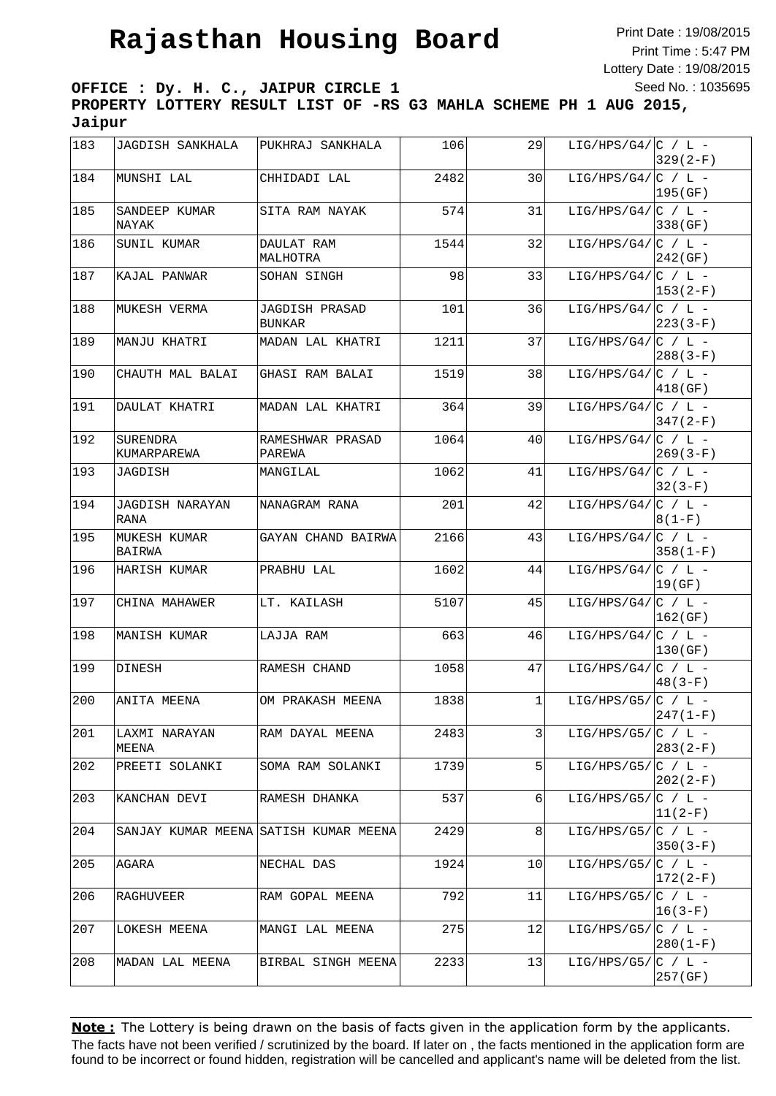Print Date : 19/08/2015 Print Time : 5:47 PM Lottery Date : 19/08/2015 Seed No. : 1035695

**OFFICE : Dy. H. C., JAIPUR CIRCLE 1 PROPERTY LOTTERY RESULT LIST OF -RS G3 MAHLA SCHEME PH 1 AUG 2015, Jaipur**

| 183 | JAGDISH SANKHALA               | PUKHRAJ SANKHALA                      | 106  | 29             | LIG/HPS/G4/ $ C / L -$ | $329(2-F)$  |
|-----|--------------------------------|---------------------------------------|------|----------------|------------------------|-------------|
| 184 | MUNSHI LAL                     | CHHIDADI LAL                          | 2482 | 30             | LIG/HPS/G4/ $C / L$ -  | 195(GF)     |
| 185 | SANDEEP KUMAR<br>NAYAK         | SITA RAM NAYAK                        | 574  | 31             | LIG/HPS/G4/ $ C / L -$ | 338 (GF)    |
| 186 | SUNIL KUMAR                    | DAULAT RAM<br>MALHOTRA                | 1544 | 32             | LIG/HPS/G4/ $ C / L -$ | 242(GF)     |
| 187 | KAJAL PANWAR                   | SOHAN SINGH                           | 98   | 33             | LIG/HPS/G4/ $ C / L -$ | 153(2-F)    |
| 188 | MUKESH VERMA                   | JAGDISH PRASAD<br>BUNKAR              | 101  | 36             | LIG/HPS/G4/ $ C / L -$ | $223(3-F)$  |
| 189 | MANJU KHATRI                   | MADAN LAL KHATRI                      | 1211 | 37             | LIG/HPS/G4/ $ C / L -$ | $288(3-F)$  |
| 190 | CHAUTH MAL BALAI               | GHASI RAM BALAI                       | 1519 | 38             | LIG/HPS/G4/ $ C / L -$ | 418 (GF)    |
| 191 | DAULAT KHATRI                  | MADAN LAL KHATRI                      | 364  | 39             | LIG/HPS/G4/ $ C / L -$ | $347(2-F)$  |
| 192 | SURENDRA<br>KUMARPAREWA        | RAMESHWAR PRASAD<br>PAREWA            | 1064 | 40             | LIG/HPS/G4/ $ C / L -$ | $269(3-F)$  |
| 193 | JAGDISH                        | MANGILAL                              | 1062 | 41             | LIG/HPS/G4/ $ C / L -$ | $32(3-F)$   |
| 194 | <b>JAGDISH NARAYAN</b><br>RANA | NANAGRAM RANA                         | 201  | 42             | LIG/HPS/G4/ $ C / L -$ | $8(1-F)$    |
| 195 | MUKESH KUMAR<br>BAIRWA         | GAYAN CHAND BAIRWA                    | 2166 | 43             | LIG/HPS/G4/ $ C / L -$ | $358(1-F)$  |
| 196 | HARISH KUMAR                   | PRABHU LAL                            | 1602 | 44             | LIG/HPS/G4/ $ C / L -$ | 19(GF)      |
| 197 | CHINA MAHAWER                  | LT. KAILASH                           | 5107 | 45             | LIG/HPS/G4/ $ C / L -$ | 162(GF)     |
| 198 | MANISH KUMAR                   | LAJJA RAM                             | 663  | 46             | LIG/HPS/G4/ $ C / L -$ | 130(GF)     |
| 199 | DINESH                         | RAMESH CHAND                          | 1058 | 47             | LIG/HPS/G4/ $ C / L -$ | $48(3-F)$   |
| 200 | ANITA MEENA                    | OM PRAKASH MEENA                      | 1838 | $\mathbf{1}$   | LIG/HPS/G5/ $ C / L -$ | $247(1-F)$  |
| 201 | LAXMI NARAYAN<br>MEENA         | RAM DAYAL MEENA                       | 2483 | $\overline{3}$ | LIG/HPS/G5/ $ C / L -$ | $283(2-F)$  |
| 202 | PREETI SOLANKI                 | SOMA RAM SOLANKI                      | 1739 | 5              | LIG/HPS/G5/ $ C / L -$ | $202(2-F)$  |
| 203 | KANCHAN DEVI                   | RAMESH DHANKA                         | 537  | 6              | LIG/HPS/G5/ $ C / L -$ | $ 11(2-F) $ |
| 204 |                                | SANJAY KUMAR MEENA SATISH KUMAR MEENA | 2429 | 8 <sup>1</sup> | LIG/HPS/G5/ $ C / L -$ | $350(3-F)$  |
| 205 | AGARA                          | NECHAL DAS                            | 1924 | 10             | LIG/HPS/G5/ $ C / L -$ | $172(2-F)$  |
| 206 | RAGHUVEER                      | RAM GOPAL MEENA                       | 792  | 11             | LIG/HPS/G5/ $ C / L -$ | $ 16(3-F) $ |
| 207 | LOKESH MEENA                   | MANGI LAL MEENA                       | 275  | 12             | LIG/HPS/G5/ $ C / L -$ | $280(1-F)$  |
| 208 | MADAN LAL MEENA                | BIRBAL SINGH MEENA                    | 2233 | 13             | LIG/HPS/G5/ $ C / L -$ | 257(GF)     |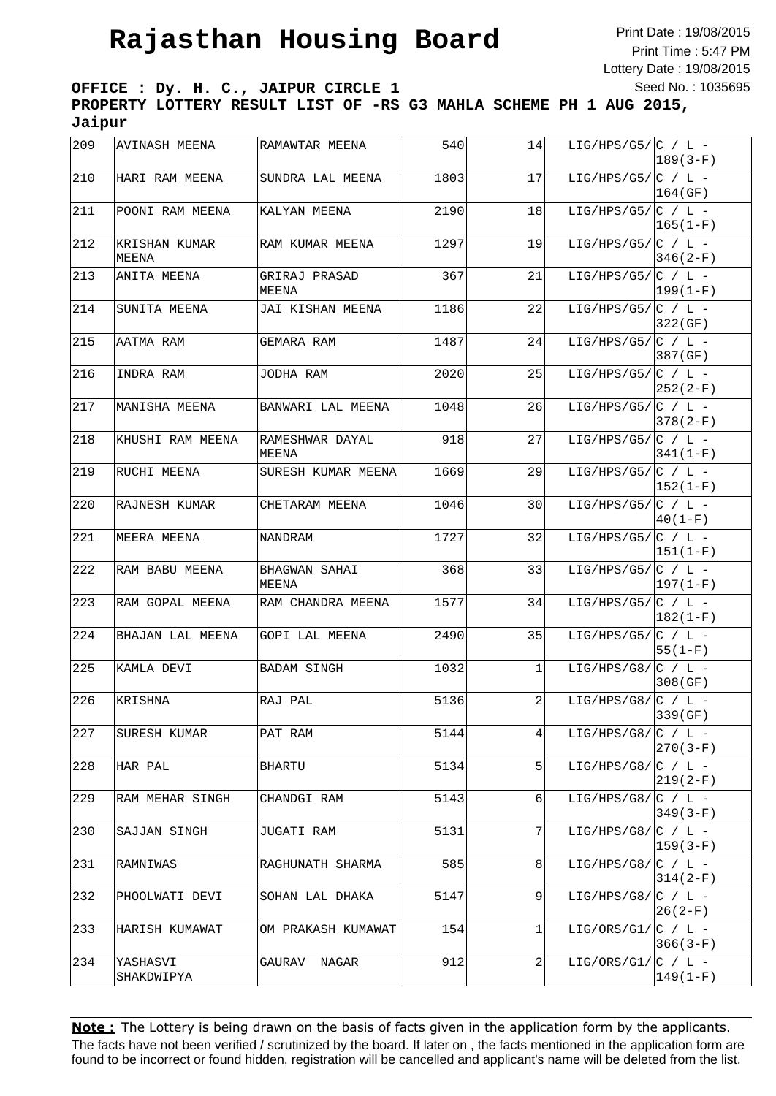Print Date : 19/08/2015 Print Time : 5:47 PM Lottery Date : 19/08/2015 Seed No. : 1035695

**OFFICE : Dy. H. C., JAIPUR CIRCLE 1 PROPERTY LOTTERY RESULT LIST OF -RS G3 MAHLA SCHEME PH 1 AUG 2015, Jaipur**

| 209 | <b>AVINASH MEENA</b>   | RAMAWTAR MEENA           | 540  | 14 | LIG/HPS/G5/ $ C / L -$ | $189(3-F)$   |
|-----|------------------------|--------------------------|------|----|------------------------|--------------|
| 210 | HARI RAM MEENA         | SUNDRA LAL MEENA         | 1803 | 17 | LIG/HPS/G5/ $ C / L -$ | 164(GF)      |
| 211 | POONI RAM MEENA        | KALYAN MEENA             | 2190 | 18 | LIG/HPS/G5/ $ C / L -$ | $ 165(1-F) $ |
| 212 | KRISHAN KUMAR<br>MEENA | RAM KUMAR MEENA          | 1297 | 19 | LIG/HPS/G5/ $ C / L -$ | 346(2-F)     |
| 213 | ANITA MEENA            | GRIRAJ PRASAD<br>MEENA   | 367  | 21 | LIG/HPS/G5/ $ C / L -$ | $ 199(1-F)$  |
| 214 | SUNITA MEENA           | JAI KISHAN MEENA         | 1186 | 22 | LIG/HPS/G5/ $ C / L -$ | 322 (GF)     |
| 215 | AATMA RAM              | GEMARA RAM               | 1487 | 24 | LIG/HPS/G5/ $ C / L -$ | 387 (GF)     |
| 216 | INDRA RAM              | JODHA RAM                | 2020 | 25 | LIG/HPS/G5/ $ C / L -$ | 252(2-F)     |
| 217 | MANISHA MEENA          | BANWARI LAL MEENA        | 1048 | 26 | LIG/HPS/G5/ $ C / L -$ | 378(2-F)     |
| 218 | KHUSHI RAM MEENA       | RAMESHWAR DAYAL<br>MEENA | 918  | 27 | LIG/HPS/G5/ $ C / L -$ | $341(1-F)$   |
| 219 | RUCHI MEENA            | SURESH KUMAR MEENA       | 1669 | 29 | LIG/HPS/G5/ $ C / L -$ | $ 152(1-F) $ |
| 220 | RAJNESH KUMAR          | CHETARAM MEENA           | 1046 | 30 | LIG/HPS/G5/ $ C / L -$ | $40(1-F)$    |
| 221 | MEERA MEENA            | NANDRAM                  | 1727 | 32 | LIG/HPS/G5/ $ C / L -$ | 151(1-F)     |
| 222 | RAM BABU MEENA         | BHAGWAN SAHAI<br>MEENA   | 368  | 33 | LIG/HPS/G5/ $ C / L -$ | $ 197(1-F) $ |
| 223 | RAM GOPAL MEENA        | RAM CHANDRA MEENA        | 1577 | 34 | LIG/HPS/G5/ $ C / L -$ | $ 182(1-F) $ |
| 224 | BHAJAN LAL MEENA       | GOPI LAL MEENA           | 2490 | 35 | LIG/HPS/G5/ $ C / L -$ | 55(1-F)      |
| 225 | KAMLA DEVI             | BADAM SINGH              | 1032 | 1  | LIG/HPS/G8/ $ C / L -$ | 308(GF)      |
| 226 | KRISHNA                | RAJ PAL                  | 5136 | 2  | LIG/HPS/G8/ $ C / L -$ | 339 (GF)     |
| 227 | SURESH KUMAR           | PAT RAM                  | 5144 | 4  | LIG/HPS/G8/ $ C / L -$ | 270(3-F)     |
| 228 | HAR PAL                | BHARTU                   | 5134 | 5  | LIG/HPS/G8/ $ C / L -$ | $219(2-F)$   |
| 229 | RAM MEHAR SINGH        | CHANDGI RAM              | 5143 | 6  | LIG/HPS/G8/ $ C / L -$ | 349(3-F)     |
| 230 | SAJJAN SINGH           | JUGATI RAM               | 5131 | 7  | LIG/HPS/G8/ $ C / L -$ | $ 159(3-F) $ |
| 231 | RAMNIWAS               | RAGHUNATH SHARMA         | 585  | 8  | LIG/HPS/G8/ $ C / L -$ | $314(2-F)$   |
| 232 | PHOOLWATI DEVI         | SOHAN LAL DHAKA          | 5147 | 9  | LIG/HPS/G8/ $ C / L -$ | 26 (2-F)     |
| 233 | HARISH KUMAWAT         | OM PRAKASH KUMAWAT       | 154  | 1  | LIG/ORS/G1/ $ C / L -$ | $366(3-F)$   |
| 234 | YASHASVI<br>SHAKDWIPYA | GAURAV NAGAR             | 912  | 2  | LIG/ORS/G1/ $ C / L -$ | $149(1-F)$   |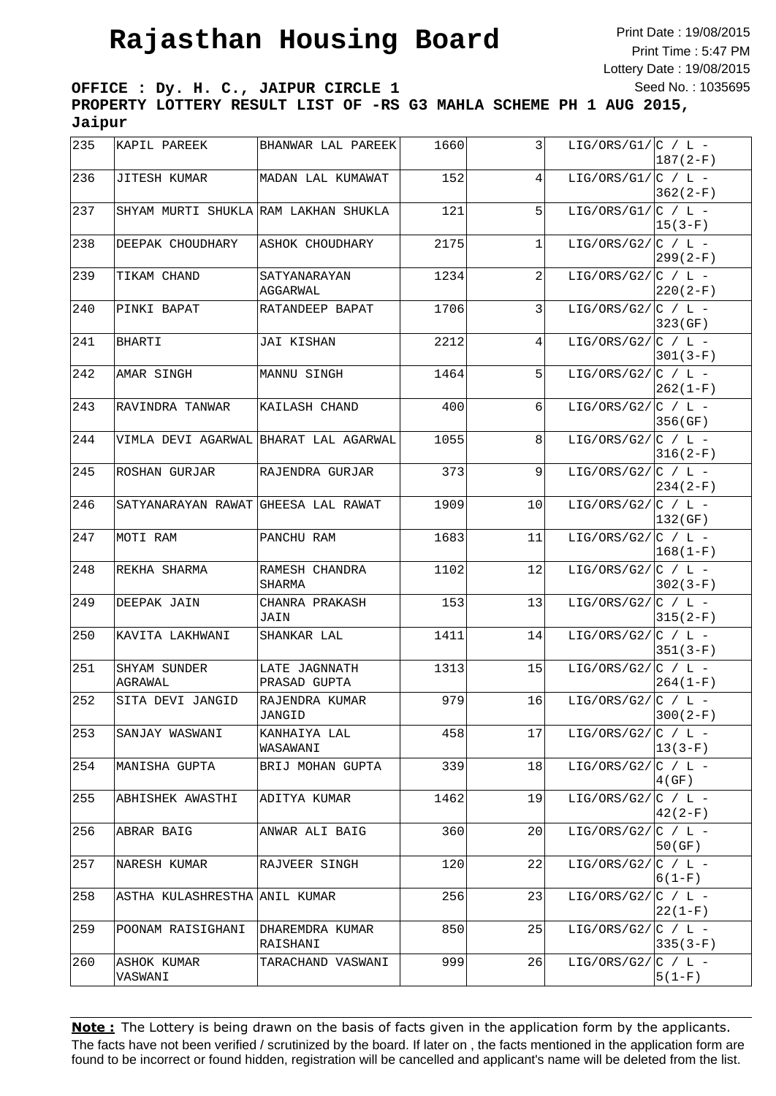Print Date : 19/08/2015 Print Time : 5:47 PM Lottery Date : 19/08/2015 Seed No. : 1035695

**OFFICE : Dy. H. C., JAIPUR CIRCLE 1 PROPERTY LOTTERY RESULT LIST OF -RS G3 MAHLA SCHEME PH 1 AUG 2015, Jaipur**

| 235 | KAPIL PAREEK                         | BHANWAR LAL PAREEK                    | 1660 | 3  | LIG/ORS/G1/ $ C / L -$ | $187(2-F)$  |
|-----|--------------------------------------|---------------------------------------|------|----|------------------------|-------------|
| 236 | JITESH KUMAR                         | MADAN LAL KUMAWAT                     | 152  | 4  | LIG/ORS/G1/ $ C / L -$ | $362(2-F)$  |
| 237 | SHYAM MURTI SHUKLA RAM LAKHAN SHUKLA |                                       | 121  | 5  | LIG/ORS/G1/ $C / L$ -  | $ 15(3-F) $ |
| 238 | DEEPAK CHOUDHARY                     | ASHOK CHOUDHARY                       | 2175 | 1  | LIG/ORS/G2/ $C / L$ -  | $299(2-F)$  |
| 239 | TIKAM CHAND                          | SATYANARAYAN<br>AGGARWAL              | 1234 | 2  | LIG/ORS/G2/ $ C / L -$ | $220(2-F)$  |
| 240 | PINKI BAPAT                          | RATANDEEP BAPAT                       | 1706 | 3  | LIG/ORS/G2/ $ C / L -$ | 323(GF)     |
| 241 | BHARTI                               | JAI KISHAN                            | 2212 | 4  | LIG/ORS/G2/ $ C / L -$ | $301(3-F)$  |
| 242 | AMAR SINGH                           | MANNU SINGH                           | 1464 | 5  | LIG/ORS/G2/ $ C / L -$ | $262(1-F)$  |
| 243 | RAVINDRA TANWAR                      | KAILASH CHAND                         | 400  | 6  | LIG/ORS/G2/ $C / L$ -  | 356(GF)     |
| 244 |                                      | VIMLA DEVI AGARWAL BHARAT LAL AGARWAL | 1055 | 8  | LIG/ORS/G2/ $C / L$ -  | $316(2-F)$  |
| 245 | ROSHAN GURJAR                        | RAJENDRA GURJAR                       | 373  | 9  | LIG/ORS/G2/ $ C / L -$ | $234(2-F)$  |
| 246 | SATYANARAYAN RAWAT GHEESA LAL RAWAT  |                                       | 1909 | 10 | LIG/ORS/G2/ $ C / L -$ | 132(GF)     |
| 247 | MOTI RAM                             | PANCHU RAM                            | 1683 | 11 | LIG/ORS/G2/ $ C / L -$ | $ 168(1-F)$ |
| 248 | REKHA SHARMA                         | RAMESH CHANDRA<br>SHARMA              | 1102 | 12 | LIG/ORS/G2/ $ C / L -$ | $302(3-F)$  |
| 249 | DEEPAK JAIN                          | CHANRA PRAKASH<br>JAIN                | 153  | 13 | LIG/ORS/G2/ $ C / L -$ | $315(2-F)$  |
| 250 | KAVITA LAKHWANI                      | SHANKAR LAL                           | 1411 | 14 | LIG/ORS/G2/ $ C / L -$ | $351(3-F)$  |
| 251 | SHYAM SUNDER<br>AGRAWAL              | LATE JAGNNATH<br>PRASAD GUPTA         | 1313 | 15 | LIG/ORS/G2/ $ C / L -$ | $264(1-F)$  |
| 252 | SITA DEVI JANGID                     | RAJENDRA KUMAR<br>JANGID              | 979  | 16 | LIG/ORS/G2/ $ C / L -$ | $300(2-F)$  |
| 253 | SANJAY WASWANI                       | KANHAIYA LAL<br>WASAWANI              | 458  | 17 | LIG/ORS/G2/ $ C / L -$ | $ 13(3-F) $ |
| 254 | MANISHA GUPTA                        | BRIJ MOHAN GUPTA                      | 339  | 18 | LIG/ORS/G2/ $ C / L -$ | 4(GF)       |
| 255 | ABHISHEK AWASTHI                     | ADITYA KUMAR                          | 1462 | 19 | LIG/ORS/G2/ $ C / L -$ | $42(2-F)$   |
| 256 | ABRAR BAIG                           | ANWAR ALI BAIG                        | 360  | 20 | LIG/ORS/G2/ $C / L$ -  | 50(GF)      |
| 257 | NARESH KUMAR                         | RAJVEER SINGH                         | 120  | 22 | LIG/ORS/G2/ $ C / L -$ | $6(1-F)$    |
| 258 | ASTHA KULASHRESTHA                   | ANIL KUMAR                            | 256  | 23 | LIG/ORS/G2/ $ C / L -$ | $22(1-F)$   |
| 259 | POONAM RAISIGHANI                    | DHAREMDRA KUMAR<br>RAISHANI           | 850  | 25 | LIG/ORS/G2/ $ C / L -$ | $335(3-F)$  |
| 260 | ASHOK KUMAR<br>VASWANI               | TARACHAND VASWANI                     | 999  | 26 | LIG/ORS/G2/ $ C / L -$ | $5(1-F)$    |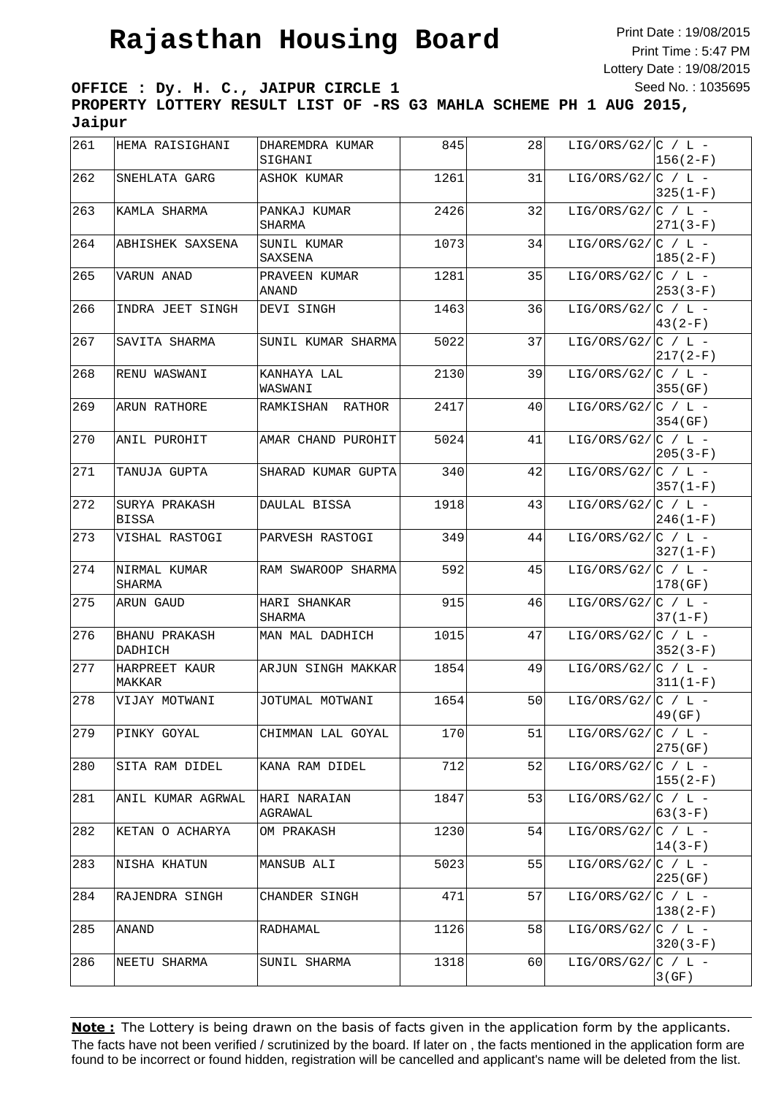Print Date : 19/08/2015 Print Time : 5:47 PM Lottery Date : 19/08/2015 Seed No. : 1035695

**OFFICE : Dy. H. C., JAIPUR CIRCLE 1 PROPERTY LOTTERY RESULT LIST OF -RS G3 MAHLA SCHEME PH 1 AUG 2015, Jaipur**

| 261 | HEMA RAISIGHANI               | DHAREMDRA KUMAR<br>SIGHANI | 845  | 28 | LIG/ORS/G2/ $ C / L -$ | $156(2-F)$        |
|-----|-------------------------------|----------------------------|------|----|------------------------|-------------------|
| 262 | SNEHLATA GARG                 | ASHOK KUMAR                | 1261 | 31 | LIG/ORS/G2/ $C / L$ -  | $325(1-F)$        |
| 263 | KAMLA SHARMA                  | PANKAJ KUMAR<br>SHARMA     | 2426 | 32 | LIG/ORS/G2/ $C / L$ -  | $271(3-F)$        |
| 264 | ABHISHEK SAXSENA              | SUNIL KUMAR<br>SAXSENA     | 1073 | 34 | LIG/ORS/G2/ $ C / L -$ | $185(2-F)$        |
| 265 | VARUN ANAD                    | PRAVEEN KUMAR<br>ANAND     | 1281 | 35 | LIG/ORS/G2/ $ C / L -$ | $253(3-F)$        |
| 266 | INDRA JEET SINGH              | DEVI SINGH                 | 1463 | 36 | LIG/ORS/G2/ $ C / L -$ | $43(2-F)$         |
| 267 | SAVITA SHARMA                 | SUNIL KUMAR SHARMA         | 5022 | 37 | LIG/ORS/G2/ $ C / L -$ | $217(2-F)$        |
| 268 | RENU WASWANI                  | KANHAYA LAL<br>WASWANI     | 2130 | 39 | LIG/ORS/G2/ $ C / L -$ | 355(GF)           |
| 269 | ARUN RATHORE                  | RAMKISHAN RATHOR           | 2417 | 40 | LIG/ORS/G2/ $ C / L -$ | 354 (GF)          |
| 270 | ANIL PUROHIT                  | AMAR CHAND PUROHIT         | 5024 | 41 | LIG/ORS/G2/ $ C / L -$ | $205(3-F)$        |
| 271 | TANUJA GUPTA                  | SHARAD KUMAR GUPTA         | 340  | 42 | LIG/ORS/G2/ $ C / L -$ | $357(1-F)$        |
| 272 | SURYA PRAKASH<br><b>BISSA</b> | DAULAL BISSA               | 1918 | 43 | LIG/ORS/G2/ $ C / L -$ | $246(1-F)$        |
| 273 | VISHAL RASTOGI                | PARVESH RASTOGI            | 349  | 44 | LIG/ORS/G2/ $ C / L -$ | $327(1-F)$        |
| 274 | NIRMAL KUMAR<br>SHARMA        | RAM SWAROOP SHARMA         | 592  | 45 | LIG/ORS/G2/ $C / L$ -  | 178(GF)           |
| 275 | ARUN GAUD                     | HARI SHANKAR<br>SHARMA     | 915  | 46 | LIG/ORS/G2/ $ C / L -$ | $37(1-F)$         |
| 276 | BHANU PRAKASH<br>DADHICH      | MAN MAL DADHICH            | 1015 | 47 | LIG/ORS/G2/ $C / L$ -  | $352(3-F)$        |
| 277 | HARPREET KAUR<br>MAKKAR       | ARJUN SINGH MAKKAR         | 1854 | 49 | LIG/ORS/G2/ $ C / L -$ | $311(1-F)$        |
| 278 | VIJAY MOTWANI                 | JOTUMAL MOTWANI            | 1654 | 50 | LIG/ORS/G2/ $ C / L -$ | 49 (GF)           |
| 279 | PINKY GOYAL                   | CHIMMAN LAL GOYAL          | 170  | 51 | LIG/ORS/G2/ $ C / L -$ | 275 (GF)          |
| 280 | SITA RAM DIDEL                | KANA RAM DIDEL             | 712  | 52 | LIG/ORS/G2/ $C / L$ -  | $155(2-F)$        |
| 281 | ANIL KUMAR AGRWAL             | HARI NARAIAN<br>AGRAWAL    | 1847 | 53 | LIG/ORS/G2/ $ C / L -$ | $63(3-F)$         |
| 282 | KETAN O ACHARYA               | OM PRAKASH                 | 1230 | 54 | LIG/ORS/G2/ $ C / L -$ | $14(3-F)$         |
| 283 | NISHA KHATUN                  | MANSUB ALI                 | 5023 | 55 | LIG/ORS/G2/ $ C / L -$ | 225(GF)           |
| 284 | RAJENDRA SINGH                | CHANDER SINGH              | 471  | 57 | LIG/ORS/G2/ $ C / L -$ | $138(2-F)$        |
| 285 | ANAND                         | RADHAMAL                   | 1126 | 58 | LIG/ORS/G2/ $C / L$ -  | $320(3-F)$        |
| 286 | NEETU SHARMA                  | SUNIL SHARMA               | 1318 | 60 | LIG/ORS/G2/ $C / L$ -  | $3$ ( $\rm{GF}$ ) |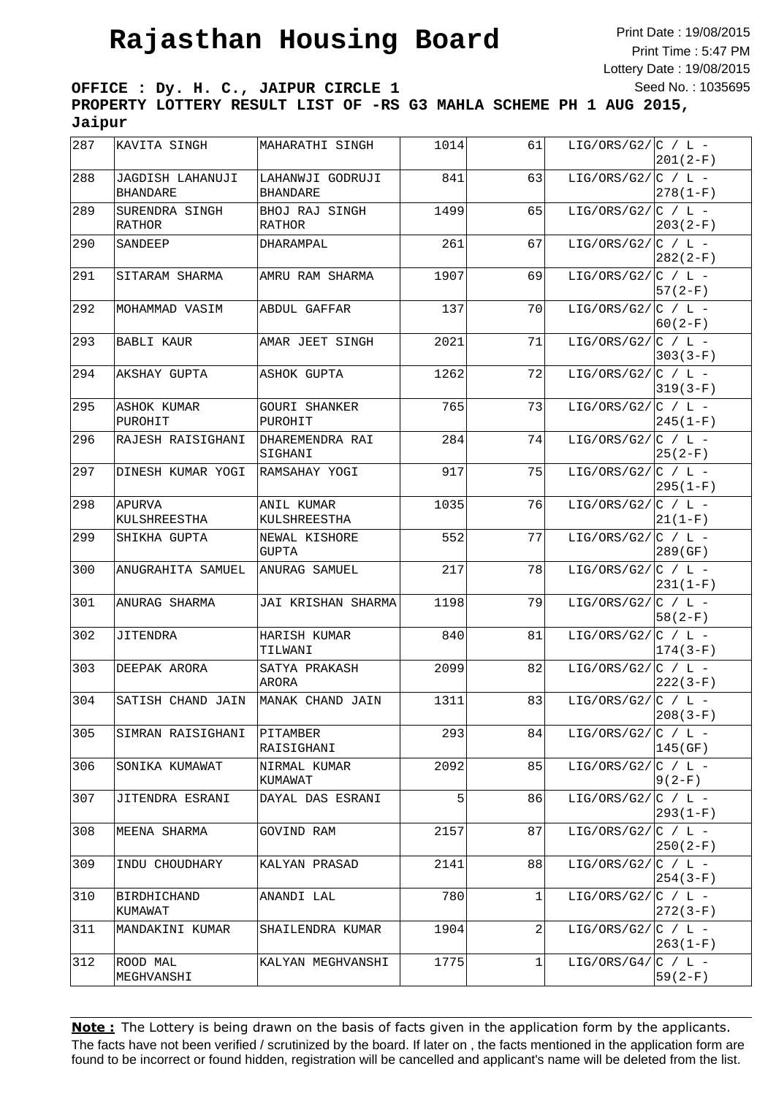Print Date : 19/08/2015 Print Time : 5:47 PM Lottery Date : 19/08/2015 Seed No. : 1035695

**OFFICE : Dy. H. C., JAIPUR CIRCLE 1 PROPERTY LOTTERY RESULT LIST OF -RS G3 MAHLA SCHEME PH 1 AUG 2015, Jaipur**

| 287 | KAVITA SINGH                        | MAHARATHI SINGH                     | 1014 | 61 | LIG/ORS/G2/ $ C / L -$ | $201(2-F)$   |
|-----|-------------------------------------|-------------------------------------|------|----|------------------------|--------------|
| 288 | JAGDISH LAHANUJI<br><b>BHANDARE</b> | LAHANWJI GODRUJI<br><b>BHANDARE</b> | 841  | 63 | LIG/ORS/G2/ $ C / L -$ | $ 278(1-F)$  |
| 289 | SURENDRA SINGH<br>RATHOR            | BHOJ RAJ SINGH<br>RATHOR            | 1499 | 65 | LIG/ORS/G2/ $ C / L -$ | $203(2-F)$   |
| 290 | SANDEEP                             | DHARAMPAL                           | 261  | 67 | LIG/ORS/G2/ $C / L$ -  | $282(2-F)$   |
| 291 | SITARAM SHARMA                      | AMRU RAM SHARMA                     | 1907 | 69 | LIG/ORS/G2/ $C / L$ -  | $57(2-F)$    |
| 292 | MOHAMMAD VASIM                      | ABDUL GAFFAR                        | 137  | 70 | LIG/ORS/G2/ $ C / L -$ | $60(2-F)$    |
| 293 | BABLI KAUR                          | AMAR JEET SINGH                     | 2021 | 71 | LIG/ORS/G2/ $ C / L -$ | $303(3-F)$   |
| 294 | AKSHAY GUPTA                        | ASHOK GUPTA                         | 1262 | 72 | LIG/ORS/G2/ $ C / L -$ | $319(3-F)$   |
| 295 | ASHOK KUMAR<br>PUROHIT              | GOURI SHANKER<br>PUROHIT            | 765  | 73 | LIG/ORS/G2/ $ C / L -$ | $245(1-F)$   |
| 296 | RAJESH RAISIGHANI                   | DHAREMENDRA RAI<br>SIGHANI          | 284  | 74 | LIG/ORS/G2/ $ C / L -$ | $25(2-F)$    |
| 297 | DINESH KUMAR YOGI                   | RAMSAHAY YOGI                       | 917  | 75 | LIG/ORS/G2/ $ C / L -$ | $295(1-F)$   |
| 298 | APURVA<br>KULSHREESTHA              | ANIL KUMAR<br>KULSHREESTHA          | 1035 | 76 | LIG/ORS/G2/ $ C / L -$ | $21(1-F)$    |
| 299 | SHIKHA GUPTA                        | NEWAL KISHORE<br>GUPTA              | 552  | 77 | LIG/ORS/G2/ $ C / L -$ | 289 (GF)     |
| 300 | ANUGRAHITA SAMUEL                   | ANURAG SAMUEL                       | 217  | 78 | LIG/ORS/G2/ $C / L$ -  | 231(1-F)     |
| 301 | ANURAG SHARMA                       | JAI KRISHAN SHARMA                  | 1198 | 79 | LIG/ORS/G2/ $C / L$ -  | 58(2-F)      |
| 302 | JITENDRA                            | HARISH KUMAR<br>TILWANI             | 840  | 81 | LIG/ORS/G2/ $C / L$ -  | 174(3-F)     |
| 303 | DEEPAK ARORA                        | SATYA PRAKASH<br>ARORA              | 2099 | 82 | LIG/ORS/G2/ $ C / L -$ | $222(3-F)$   |
| 304 | SATISH CHAND JAIN                   | MANAK CHAND JAIN                    | 1311 | 83 | LIG/ORS/G2/ $ C / L -$ | $208(3-F)$   |
| 305 | SIMRAN RAISIGHANI                   | PITAMBER<br>RAISIGHANI              | 293  | 84 | LIG/ORS/G2/ $ C / L -$ | 145(GF)      |
| 306 | SONIKA KUMAWAT                      | NIRMAL KUMAR<br>KUMAWAT             | 2092 | 85 | LIG/ORS/G2/ $ C / L -$ | $9(2-F)$     |
| 307 | JITENDRA ESRANI                     | DAYAL DAS ESRANI                    | 5    | 86 | LIG/ORS/G2/ $ C / L -$ | 293(1-F)     |
| 308 | MEENA SHARMA                        | GOVIND RAM                          | 2157 | 87 | LIG/ORS/G2/ $ C / L -$ | $250(2-F)$   |
| 309 | INDU CHOUDHARY                      | KALYAN PRASAD                       | 2141 | 88 | LIG/ORS/G2/ $ C / L -$ | 254(3-F)     |
| 310 | BIRDHICHAND<br>KUMAWAT              | ANANDI LAL                          | 780  | 1  | LIG/ORS/G2/ $C / L$ -  | 272(3-F)     |
| 311 | MANDAKINI KUMAR                     | SHAILENDRA KUMAR                    | 1904 | 2  | LIG/ORS/G2/ $ C / L -$ | $ 263(1-F) $ |
| 312 | ROOD MAL<br>MEGHVANSHI              | KALYAN MEGHVANSHI                   | 1775 | 1  | LIG/ORS/G4/ $ C / L -$ | $59(2-F)$    |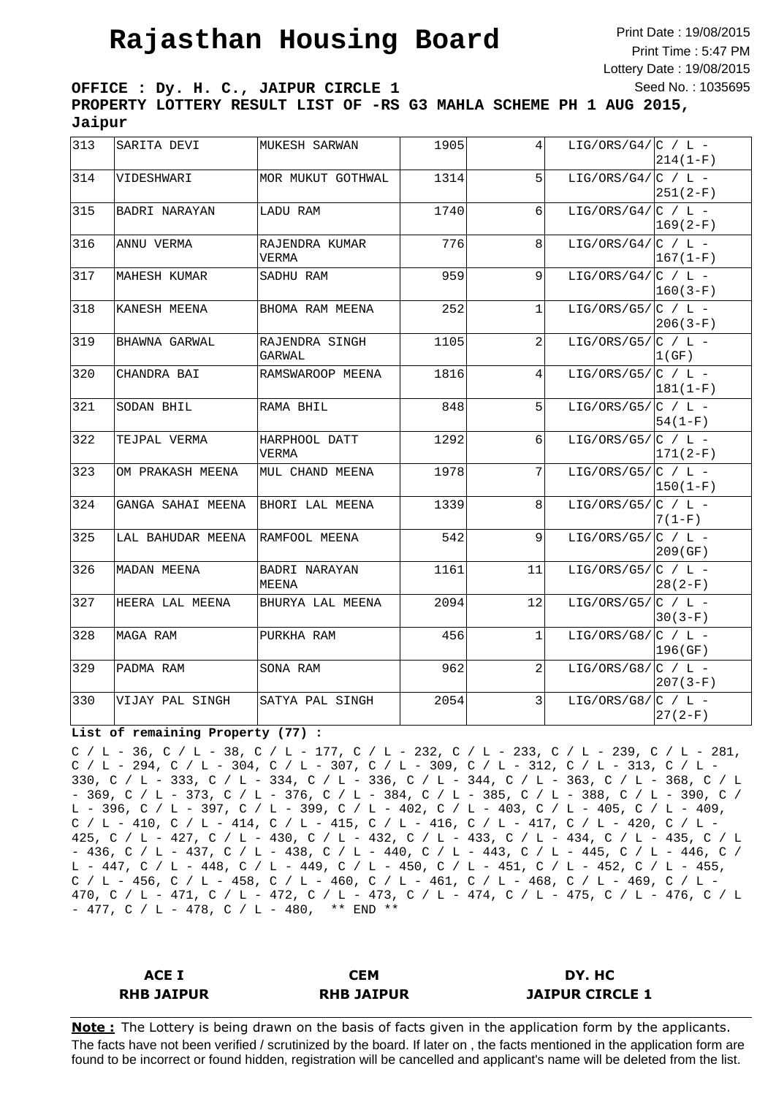Print Date : 19/08/2015 Print Time : 5:47 PM Lottery Date : 19/08/2015 Seed No. : 1035695

**OFFICE : Dy. H. C., JAIPUR CIRCLE 1 PROPERTY LOTTERY RESULT LIST OF -RS G3 MAHLA SCHEME PH 1 AUG 2015, Jaipur**

| 313 | SARITA DEVI       | MUKESH SARWAN                 | 1905 | $\vert 4 \vert$ | LIG/ORS/G4/ $ C / L -$ | $214(1-F)$   |
|-----|-------------------|-------------------------------|------|-----------------|------------------------|--------------|
| 314 | VIDESHWARI        | MOR MUKUT GOTHWAL             | 1314 | 5               | LIG/ORS/G4/ $ C / L -$ | 251(2-F)     |
| 315 | BADRI NARAYAN     | LADU RAM                      | 1740 | 6               | LIG/ORS/G4/ $ C / L -$ | $169(2-F)$   |
| 316 | ANNU VERMA        | RAJENDRA KUMAR<br>VERMA       | 776  | 8               | LIG/ORS/G4/ $ C / L -$ | $167(1-F)$   |
| 317 | MAHESH KUMAR      | SADHU RAM                     | 959  | 9               | LIG/ORS/G4/ $ C / L -$ | $160(3-F)$   |
| 318 | KANESH MEENA      | BHOMA RAM MEENA               | 252  | $\mathbf 1$     | LIG/ORS/G5/ $ C / L -$ | $206(3-F)$   |
| 319 | BHAWNA GARWAL     | RAJENDRA SINGH<br>GARWAL      | 1105 | $\overline{a}$  | LIG/ORS/G5/ $ C / L -$ | 1(GF)        |
| 320 | CHANDRA BAI       | RAMSWAROOP MEENA              | 1816 | $\overline{4}$  | LIG/ORS/G5/ $ C / L -$ | $181(1-F)$   |
| 321 | SODAN BHIL        | RAMA BHIL                     | 848  | 5               | LIG/ORS/G5/ $ C / L -$ | $54(1-F)$    |
| 322 | TEJPAL VERMA      | HARPHOOL DATT<br><b>VERMA</b> | 1292 | 6               | LIG/ORS/G5/ $ C / L -$ | 171(2-F)     |
| 323 | OM PRAKASH MEENA  | MUL CHAND MEENA               | 1978 | 7               | LIG/ORS/G5/ $ C / L -$ | $ 150(1-F) $ |
| 324 | GANGA SAHAI MEENA | BHORI LAL MEENA               | 1339 | $\mathbf{8}$    | $LIG/ORS/G5/[C / L -$  | $7(1-F)$     |
| 325 | LAL BAHUDAR MEENA | RAMFOOL MEENA                 | 542  | 9               | LIG/ORS/G5/ $ C / L -$ | 209(GF)      |
| 326 | MADAN MEENA       | BADRI NARAYAN<br>MEENA        | 1161 | 11              | $LIG/ORS/G5/[C / L -$  | $28(2-F)$    |
| 327 | HEERA LAL MEENA   | BHURYA LAL MEENA              | 2094 | 12              | LIG/ORS/G5/ $ C / L -$ | $30(3-F)$    |
| 328 | MAGA RAM          | PURKHA RAM                    | 456  | $\mathbf{1}$    | LIG/ORS/G8/ $ C / L -$ | 196(GF)      |
| 329 | PADMA RAM         | SONA RAM                      | 962  | 2               | LIG/ORS/G8/ $ C / L -$ | $207(3-F)$   |
| 330 | VIJAY PAL SINGH   | SATYA PAL SINGH               | 2054 | $\overline{3}$  | LIG/ORS/G8/ $ C / L -$ | $27(2-F)$    |

#### **List of remaining Property (77) :**

C / L - 36, C / L - 38, C / L - 177, C / L - 232, C / L - 233, C / L - 239, C / L - 281, C / L - 294, C / L - 304, C / L - 307, C / L - 309, C / L - 312, C / L - 313, C / L - 330, C / L - 333, C / L - 334, C / L - 336, C / L - 344, C / L - 363, C / L - 368, C / L - 369, C / L - 373, C / L - 376, C / L - 384, C / L - 385, C / L - 388, C / L - 390, C / L - 396, C / L - 397, C / L - 399, C / L - 402, C / L - 403, C / L - 405, C / L - 409, C / L - 410, C / L - 414, C / L - 415, C / L - 416, C / L - 417, C / L - 420, C / L -425, C / L - 427, C / L - 430, C / L - 432, C / L - 433, C / L - 434, C / L - 435, C / L - 436, C / L - 437, C / L - 438, C / L - 440, C / L - 443, C / L - 445, C / L - 446, C / L - 447, C / L - 448, C / L - 449, C / L - 450, C / L - 451, C / L - 452, C / L - 455, C / L - 456, C / L - 458, C / L - 460, C / L - 461, C / L - 468, C / L - 469, C / L - 470, C / L - 471, C / L - 472, C / L - 473, C / L - 474, C / L - 475, C / L - 476, C / L  $- 477$ , C / L  $- 478$ , C / L  $- 480$ , \*\* END \*\*

| ACE I             | <b>CEM</b>        | DY. HC                 |
|-------------------|-------------------|------------------------|
| <b>RHB JAIPUR</b> | <b>RHB JAIPUR</b> | <b>JAIPUR CIRCLE 1</b> |